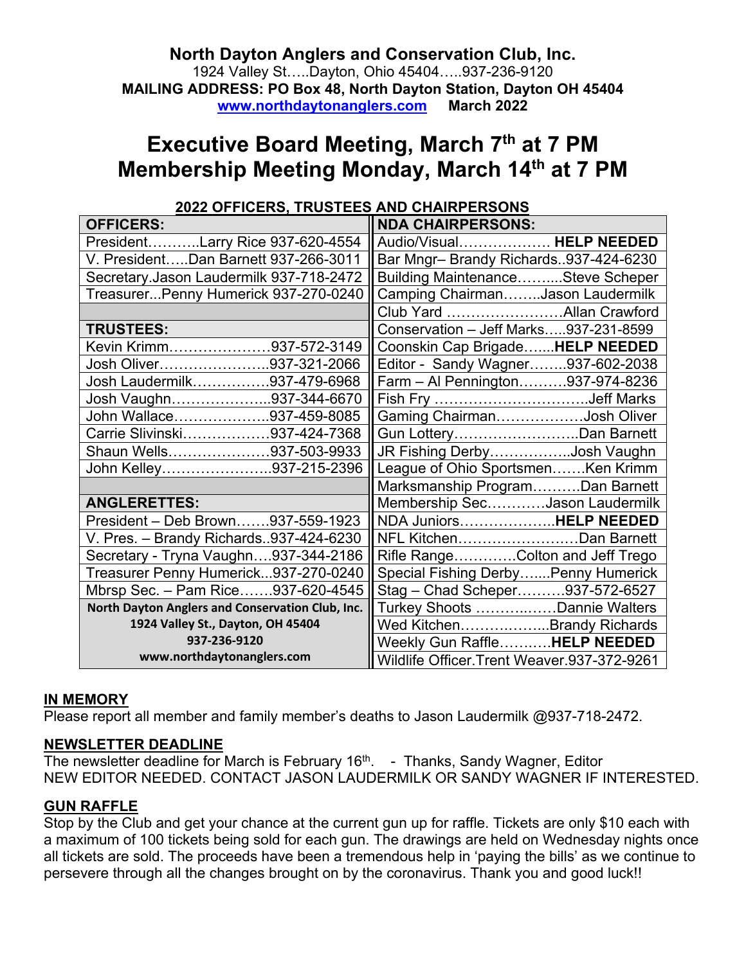**North Dayton Anglers and Conservation Club, Inc.**

1924 Valley St…..Dayton, Ohio 45404…..937-236-9120 **MAILING ADDRESS: PO Box 48, North Dayton Station, Dayton OH 45404 www.northdaytonanglers.com March 2022**

# **Executive Board Meeting, March 7th at 7 PM Membership Meeting Monday, March 14th at 7 PM**

| <b>2022 OFFICERS, TRUSTEES AND CHAIRPERSONS</b>  |                                              |
|--------------------------------------------------|----------------------------------------------|
| <b>OFFICERS:</b>                                 | <b>NDA CHAIRPERSONS:</b>                     |
| PresidentLarry Rice 937-620-4554                 | Audio/Visual HELP NEEDED                     |
| V. PresidentDan Barnett 937-266-3011             | Bar Mngr-Brandy Richards937-424-6230         |
| Secretary.Jason Laudermilk 937-718-2472          | Building MaintenanceSteve Scheper            |
| TreasurerPenny Humerick 937-270-0240             | Camping ChairmanJason Laudermilk             |
|                                                  | Club Yard Allan Crawford                     |
| <b>TRUSTEES:</b>                                 | Conservation - Jeff Marks937-231-8599        |
| Kevin Krimm937-572-3149                          | Coonskin Cap Brigade HELP NEEDED             |
| Josh Oliver937-321-2066                          | Editor - Sandy Wagner937-602-2038            |
| Josh Laudermilk937-479-6968                      | Farm - Al Pennington937-974-8236             |
| Josh Vaughn937-344-6670                          |                                              |
| John Wallace937-459-8085                         | Gaming ChairmanJosh Oliver                   |
| Carrie Slivinski937-424-7368                     |                                              |
| Shaun Wells937-503-9933                          | JR Fishing DerbyJosh Vaughn                  |
| John Kelley937-215-2396                          | League of Ohio SportsmenKen Krimm            |
|                                                  | Marksmanship ProgramDan Barnett              |
| <b>ANGLERETTES:</b>                              | Membership SecJason Laudermilk               |
| President - Deb Brown937-559-1923                | NDA JuniorsHELP NEEDED                       |
| V. Pres. - Brandy Richards937-424-6230           | NFL KitchenDan Barnett                       |
| Secretary - Tryna Vaughn937-344-2186             | Rifle RangeColton and Jeff Trego             |
| Treasurer Penny Humerick937-270-0240             | Special Fishing DerbyPenny Humerick          |
| Mbrsp Sec. - Pam Rice937-620-4545                | Stag - Chad Scheper937-572-6527              |
| North Dayton Anglers and Conservation Club, Inc. | Turkey Shoots Dannie Walters                 |
| 1924 Valley St., Dayton, OH 45404                | Wed KitchenBrandy Richards                   |
| 937-236-9120                                     | Weekly Gun RaffleHELP NEEDED                 |
| www.northdaytonanglers.com                       | Wildlife Officer. Trent Weaver. 937-372-9261 |

#### **2022 OFFICERS, TRUSTEES AND CHAIRPERSONS**

#### **IN MEMORY**

Please report all member and family member's deaths to Jason Laudermilk @937-718-2472.

### **NEWSLETTER DEADLINE**

The newsletter deadline for March is February 16<sup>th</sup>. - Thanks, Sandy Wagner, Editor NEW EDITOR NEEDED. CONTACT JASON LAUDERMILK OR SANDY WAGNER IF INTERESTED.

### **GUN RAFFLE**

Stop by the Club and get your chance at the current gun up for raffle. Tickets are only \$10 each with a maximum of 100 tickets being sold for each gun. The drawings are held on Wednesday nights once all tickets are sold. The proceeds have been a tremendous help in 'paying the bills' as we continue to persevere through all the changes brought on by the coronavirus. Thank you and good luck!!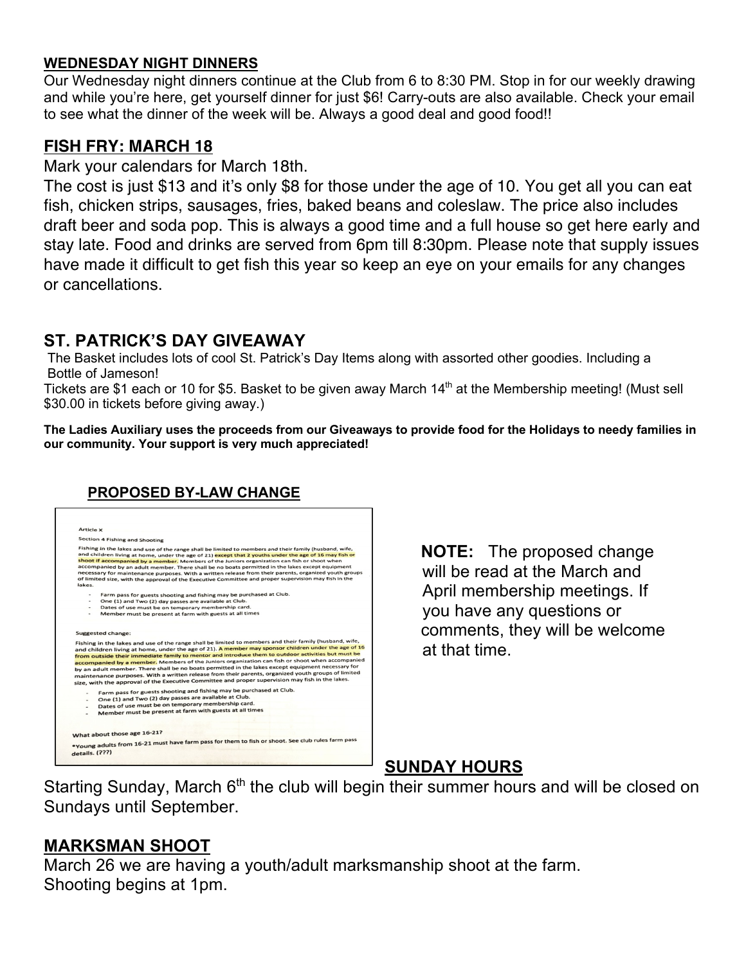### **WEDNESDAY NIGHT DINNERS**

Our Wednesday night dinners continue at the Club from 6 to 8:30 PM. Stop in for our weekly drawing and while you're here, get yourself dinner for just \$6! Carry-outs are also available. Check your email to see what the dinner of the week will be. Always a good deal and good food!!

### **FISH FRY: MARCH 18**

Mark your calendars for March 18th.

The cost is just \$13 and it's only \$8 for those under the age of 10. You get all you can eat fish, chicken strips, sausages, fries, baked beans and coleslaw. The price also includes draft beer and soda pop. This is always a good time and a full house so get here early and stay late. Food and drinks are served from 6pm till 8:30pm. Please note that supply issues have made it difficult to get fish this year so keep an eye on your emails for any changes or cancellations.

### **ST. PATRICK'S DAY GIVEAWAY**

The Basket includes lots of cool St. Patrick's Day Items along with assorted other goodies. Including a Bottle of Jameson!

Tickets are \$1 each or 10 for \$5. Basket to be given away March 14<sup>th</sup> at the Membership meeting! (Must sell \$30.00 in tickets before giving away.)

**The Ladies Auxiliary uses the proceeds from our Giveaways to provide food for the Holidays to needy families in our community. Your support is very much appreciated!**

### **PROPOSED BY-LAW CHANGE**



 **NOTE:** The proposed change will be read at the March and April membership meetings. If you have any questions or comments, they will be welcome at that time.

### **SUNDAY HOURS**

Starting Sunday, March 6<sup>th</sup> the club will begin their summer hours and will be closed on Sundays until September.

# **MARKSMAN SHOOT**

March 26 we are having a youth/adult marksmanship shoot at the farm. Shooting begins at 1pm.